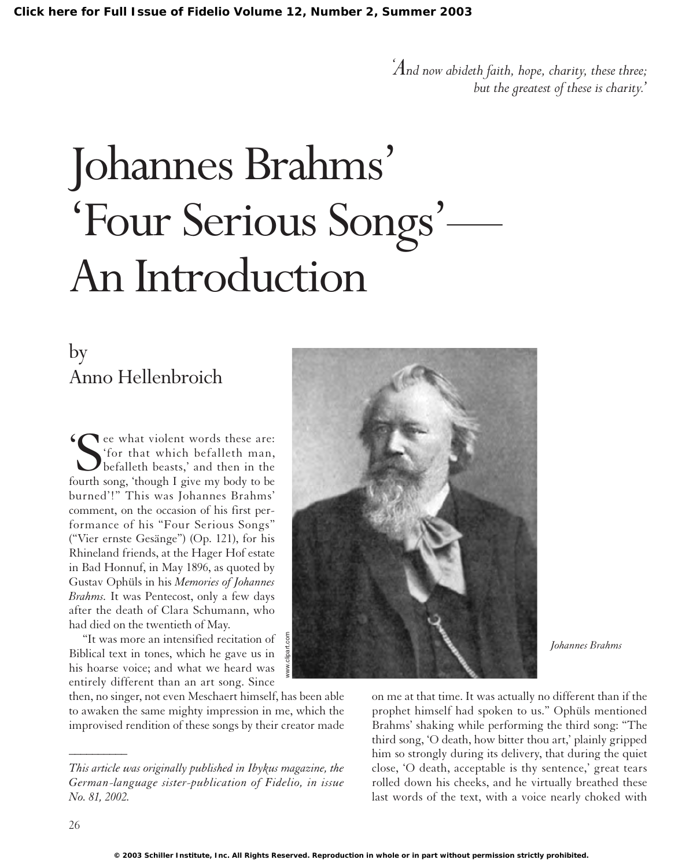*' And now abideth faith, hope, charity, these three; but the greatest of these is charity.'*

# Johannes Brahms' 'Four Serious Songs'— An Introduction

## by Anno Hellenbroich

See what violent words these are:<br>
See what which befalleth man,<br>
befalleth beasts,' and then in the<br>
fourth song, 'though I give my body to be 'for that which befalleth man, befalleth beasts,' and then in the fourth song, 'though I give my body to be burned'!" This was Johannes Brahms' comment, on the occasion of his first performance of his "Four Serious Songs" ("Vier ernste Gesänge") (Op. 121), for his Rhineland friends, at the Hager Hof estate in Bad Honnuf, in May 1896, as quoted by Gustav Ophüls in his *Memories of Johannes Brahms.* It was Pentecost, only a few days after the death of Clara Schumann, who had died on the twentieth of May.

"It was more an intensified recitation of Biblical text in tones, which he gave us in his hoarse voice; and what we heard was entirely different than an art song. Since

then, no singer, not even Meschaert himself, has been able to awaken the same mighty impression in me, which the improvised rendition of these songs by their creator made



*Johannes Brahms*

on me at that time. It was actually no different than if the prophet himself had spoken to us." Ophüls mentioned Brahms' shaking while performing the third song: "The third song, 'O death, how bitter thou art,' plainly gripped him so strongly during its delivery, that during the quiet close, 'O death, acceptable is thy sentence,' great tears rolled down his cheeks, and he virtually breathed these last words of the text, with a voice nearly choked with

*\_\_\_\_\_\_\_\_\_\_*

*This article was originally published in Ibykus magazine, the German-language sister-publication of Fidelio, in issue No. 81, 2002.*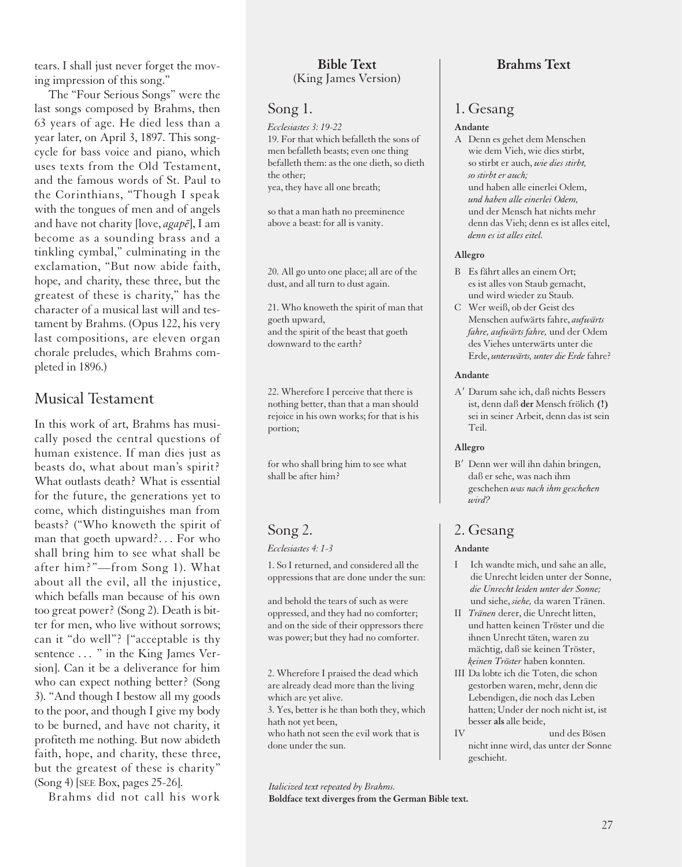tears. I shall just never forget the moving impression of this song."

The "Four Serious Songs" were the last songs composed by Brahms, then 63 years of age. He died less than a year later, on April 3, 1897. This songcycle for bass voice and piano, which uses texts from the Old Testament, and the famous words of St. Paul to the Corinthians, "Though I speak with the tongues of men and of angels and have not charity [love, *agapē*], I am become as a sounding brass and a tinkling cymbal," culminating in the exclamation, "But now abide faith, hope, and charity, these three, but the greatest of these is charity," has the character of a musical last will and testament by Brahms. (Opus 122, his very last compositions, are eleven organ chorale preludes, which Brahms completed in 1896.)

## Musical Testament

In this work of art, Brahms has musically posed the central questions of human existence. If man dies just as beasts do, what about man's spirit? What outlasts death? What is essential for the future, the generations yet to come, which distinguishes man from beasts? ("Who knoweth the spirit of man that goeth upward?. . . For who shall bring him to see what shall be after him?"—from Song 1). What about all the evil, all the injustice, which befalls man because of his own too great power? (Song 2). Death is bitter for men, who live without sorrows; can it "do well"? ["acceptable is thy sentence ... " in the King James Version]. Can it be a deliverance for him who can expect nothing better? (Song 3). "And though I bestow all my goods to the poor, and though I give my body to be burned, and have not charity, it profiteth me nothing. But now abideth faith, hope, and charity, these three, but the greatest of these is charity" (Song 4) [SEE Box, pages 25-26].

Brahms did not call his work

#### **Bible Text** (King James Version)

#### Song 1.

*Ecclesiastes 3: 19-22* 19. For that which befalleth the sons of men befalleth beasts; even one thing befalleth them: as the one dieth, so dieth the other;

yea, they have all one breath;

so that a man hath no preeminence above a beast: for all is vanity.

20. All go unto one place; all are of the dust, and all turn to dust again.

21. Who knoweth the spirit of man that goeth upward, and the spirit of the beast that goeth downward to the earth?

22. Wherefore I perceive that there is nothing better, than that a man should rejoice in his own works; for that is his portion;

for who shall bring him to see what shall be after him?

## Song 2.

#### *Ecclesiastes 4: 1-3*

1. So I returned, and considered all the oppressions that are done under the sun:

and behold the tears of such as were oppressed, and they had no comforter; and on the side of their oppressors there was power; but they had no comforter.

2. Wherefore I praised the dead which are already dead more than the living which are yet alive.

3. Yes, better is he than both they, which hath not yet been,

who hath not seen the evil work that is done under the sun.

*Italicized text repeated by Brahms.* **Boldface text diverges from the German Bible text.**

### **Brahms Text**

#### 1. Gesang

#### **Andante**

A Denn es gehet dem Menschen wie dem Vieh, wie dies stirbt, so stirbt er auch, *wie dies stirbt, so stirbt er auch;* und haben alle einerlei Odem, *und haben alle einerlei Odem,* und der Mensch hat nichts mehr denn das Vieh; denn es ist alles eitel, *denn es ist alles eitel.*

#### **Allegro**

- B Es fährt alles an einem Ort; es ist alles von Staub gemacht, und wird wieder zu Staub.
- C Wer weiß, ob der Geist des Menschen aufwärts fahre, *aufwärts fahre, aufwärts fahre,* und der Odem des Viehes unterwärts unter die Erde, *unterwärts, unter die Erde*fahre?

#### **Andante**

A9 Darum sahe ich, daß nichts Bessers ist, denn daß **der** Mensch frölich **(!)** sei in seiner Arbeit, denn das ist sein Teil.

#### **Allegro**

B' Denn wer will ihn dahin bringen, daß er sehe, was nach ihm geschehen *was nach ihm geschehen wird?*

## 2. Gesang

#### **Andante**

- I Ich wandte mich, und sahe an alle, die Unrecht leiden unter der Sonne, *die Unrecht leiden unter der Sonne;* und siehe, *siehe,* da waren Tränen.
- II *Tränen* derer, die Unrecht litten, und hatten keinen Tröster und die ihnen Unrecht täten, waren zu mächtig, daß sie keinen Tröster, *keinen Tröster* haben konnten.
- III Da lobte ich die Toten, die schon gestorben waren, mehr, denn die Lebendigen, die noch das Leben hatten; Under der noch nicht ist, ist besser **als** alle beide,
- IV und des Bösen nicht inne wird, das unter der Sonne geschieht.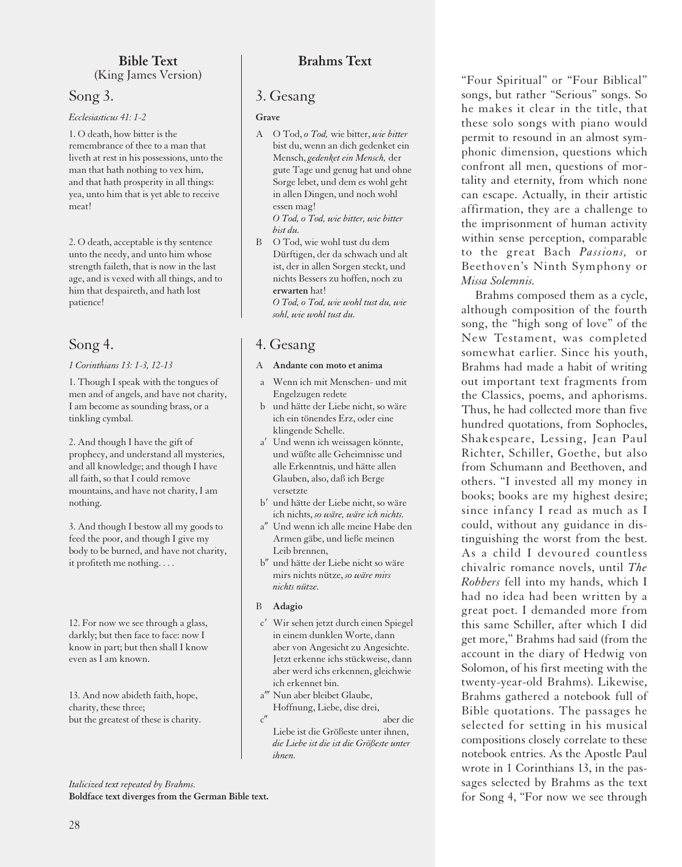#### **Bible Text** (King James Version)

## Song 3.

#### *Ecclesiasticus 41: 1-2*

1. O death, how bitter is the remembrance of thee to a man that liveth at rest in his possessions, unto the man that hath nothing to vex him, and that hath prosperity in all things: yea, unto him that is yet able to receive meat!

2. O death, acceptable is thy sentence unto the needy, and unto him whose strength faileth, that is now in the last age, and is vexed with all things, and to him that despaireth, and hath lost patience!

## Song 4.

#### *1 Corinthians 13: 1-3, 12-13*

1. Though I speak with the tongues of men and of angels, and have not charity, I am become as sounding brass, or a tinkling cymbal.

2. And though I have the gift of prophecy, and understand all mysteries, and all knowledge; and though I have all faith, so that I could remove mountains, and have not charity, I am nothing.

3. And though I bestow all my goods to feed the poor, and though I give my body to be burned, and have not charity, it profiteth me nothing. . . .

12. For now we see through a glass, darkly; but then face to face: now I know in part; but then shall I know even as I am known.

13. And now abideth faith, hope, charity, these three; but the greatest of these is charity.

*Italicized text repeated by Brahms.*

**Boldface text diverges from the German Bible text.**

## **Brahms Text**

## 3. Gesang

#### **Grave**

- A O Tod, *o Tod,* wie bitter, *wie bitter* bist du, wenn an dich gedenket ein Mensch, *gedenket ein Mensch,* der gute Tage und genug hat und ohne Sorge lebet, und dem es wohl geht in allen Dingen, und noch wohl essen mag! *O Tod, o Tod, wie bitter, wie bitter bist du.*
- B O Tod, wie wohl tust du dem Dürftigen, der da schwach und alt ist, der in allen Sorgen steckt, und nichts Bessers zu hoffen, noch zu **erwarten** hat! *O Tod, o Tod, wie wohl tust du, wie sohl, wie wohl tust du.*

## 4. Gesang

#### A **Andante con moto et anima**

- a Wenn ich mit Menschen- und mit Engelzugen redete
- b und hätte der Liebe nicht, so wäre ich ein tönendes Erz, oder eine klingende Schelle.
- a<sup>'</sup> Und wenn ich weissagen könnte, und wüßte alle Geheimnisse und alle Erkenntnis, und hätte allen Glauben, also, daß ich Berge versetzte
- b' und hätte der Liebe nicht, so wäre ich nichts, *so wäre, wäre ich nichts.*
- a" Und wenn ich alle meine Habe den Armen gäbe, und ließe meinen Leib brennen,
- b" und hätte der Liebe nicht so wäre mirs nichts nütze, *so wäre mirs nichts nütze.*
- B **Adagio**
- c<sup>'</sup> Wir sehen jetzt durch einen Spiegel in einem dunklen Worte, dann aber von Angesicht zu Angesichte. Jetzt erkenne ichs stückweise, dann aber werd ichs erkennen, gleichwie ich erkennet bin.
- a" Nun aber bleibet Glaube, Hoffnung, Liebe, dise drei,
- c'' aber die Liebe ist die Größeste unter ihnen, *die Liebe ist die ist die Größeste unter ihnen.*

"Four Spiritual" or "Four Biblical" songs, but rather "Serious" songs. So he makes it clear in the title, that these solo songs with piano would permit to resound in an almost symphonic dimension, questions which confront all men, questions of mortality and eternity, from which none can escape. Actually, in their artistic affirmation, they are a challenge to the imprisonment of human activity within sense perception, comparable to the great Bach *Passions,* or Beethoven's Ninth Symphony or *Missa Solemnis.*

Brahms composed them as a cycle, although composition of the fourth song, the "high song of love" of the New Testament, was completed somewhat earlier. Since his youth, Brahms had made a habit of writing out important text fragments from the Classics, poems, and aphorisms. Thus, he had collected more than five hundred quotations, from Sophocles, Shakespeare, Lessing, Jean Paul Richter, Schiller, Goethe, but also from Schumann and Beethoven, and others. "I invested all my money in books; books are my highest desire; since infancy I read as much as I could, without any guidance in distinguishing the worst from the best. As a child I devoured countless chivalric romance novels, until *The Robbers* fell into my hands, which I had no idea had been written by a great poet. I demanded more from this same Schiller, after which I did get more," Brahms had said (from the account in the diary of Hedwig von Solomon, of his first meeting with the twenty-year-old Brahms). Likewise, Brahms gathered a notebook full of Bible quotations. The passages he selected for setting in his musical compositions closely correlate to these notebook entries. As the Apostle Paul wrote in 1 Corinthians 13, in the passages selected by Brahms as the text for Song 4, "For now we see through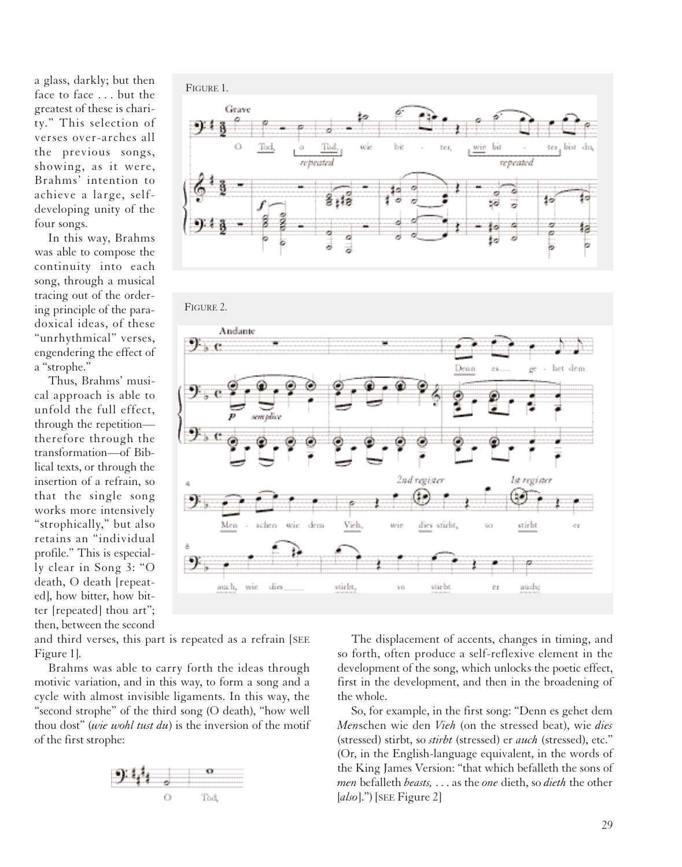a glass, darkly; but then face to face . . . but the greatest of these is charity." This selection of verses over-arches all the previous songs, showing, as it were, Brahms' intention to achieve a large, selfdeveloping unity of the four songs.

In this way, Brahms was able to compose the continuity into each song, through a musical tracing out of the ordering principle of the paradoxical ideas, of these "unrhythmical" verses, engendering the effect of a "strophe."

Thus, Brahms' musical approach is able to unfold the full effect, through the repetition therefore through the transformation—of Biblical texts, or through the insertion of a refrain, so that the single song works more intensively "strophically," but also retains an "individual profile." This is especially clear in Song 3: "O death, O death [repeated], how bitter, how bitter [repeated] thou art"; then, between the second

FIGURE 1. Grave ltŀ. Jц repented FIGURE 2.Andante りょじ Den o ber dem 2nd ræister ls register ŋ., Vidu Men schen wie dem dies wirbt, adebo 짜ic ealebe, dies <u>sú: br</u> **sude** auch, wie bû

and third verses, this part is repeated as a refrain [SEE Figure 1].

Brahms was able to carry forth the ideas through motivic variation, and in this way, to form a song and a cycle with almost invisible ligaments. In this way, the "second strophe" of the third song (O death), "how well thou dost" (*wie wohl tust du*) is the inversion of the motif of the first strophe:



The displacement of accents, changes in timing, and so forth, often produce a self-reflexive element in the development of the song, which unlocks the poetic effect, first in the development, and then in the broadening of the whole.

So, for example, in the first song: "Denn es gehet dem *Men*schen wie den *Vieh* (on the stressed beat), wie *dies* (stressed) stirbt, so *stirbt* (stressed) er *auch* (stressed), etc." (Or, in the English-language equivalent, in the words of the King James Version: "that which befalleth the sons of *men* befalleth *beasts,* . . . as the *one* dieth, so *dieth* the other [*also*].") [SEE Figure 2]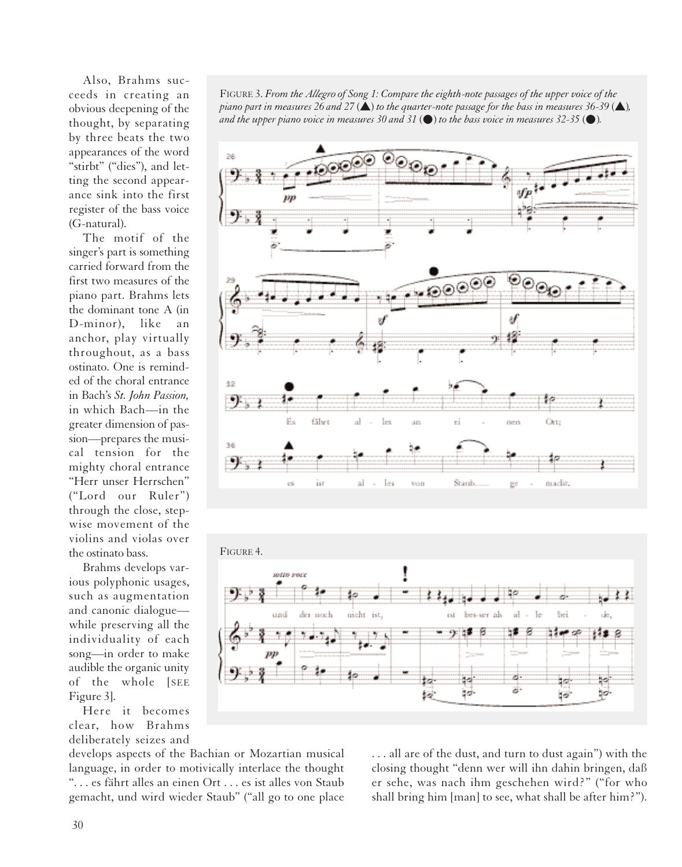Also, Brahms succeeds in creating an obvious deepening of the thought, by separating by three beats the two appearances of the word "stirbt" ("dies"), and letting the second appearance sink into the first register of the bass voice (G-natural).

The motif of the singer's part is something carried forward from the first two measures of the piano part. Brahms lets the dominant tone A (in D-minor), like an anchor, play virtually throughout, as a bass ostinato. One is reminded of the choral entrance in Bach's *St. John Passion,* in which Bach—in the greater dimension of passion—prepares the musical tension for the mighty choral entrance "Herr unser Herrschen" ("Lord our Ruler") through the close, stepwise movement of the violins and violas over the ostinato bass.

Brahms develops various polyphonic usages, such as augmentation and canonic dialogue while preserving all the individuality of each song—in order to make audible the organic unity of the whole [SEE Figure 3].

Here it becomes clear, how Brahms deliberately seizes and

FIGURE 3. *From the Allegro of Song 1: Compare the eighth-note passages of the upper voice of the piano part in measures 26 and 27*  $(\triangle)$  *to the quarter-note passage for the bass in measures 36-39*  $(\triangle)$ *, and the upper piano voice in measures 30 and 31* (**●**) *to the bass voice in measures 32-35* (**●**)*.*





develops aspects of the Bachian or Mozartian musical language, in order to motivically interlace the thought ". . . es fährt alles an einen Ort . . . es ist alles von Staub gemacht, und wird wieder Staub" ("all go to one place . . . all are of the dust, and turn to dust again") with the closing thought "denn wer will ihn dahin bringen, daß er sehe, was nach ihm geschehen wird?" ("for who shall bring him [man] to see, what shall be after him?").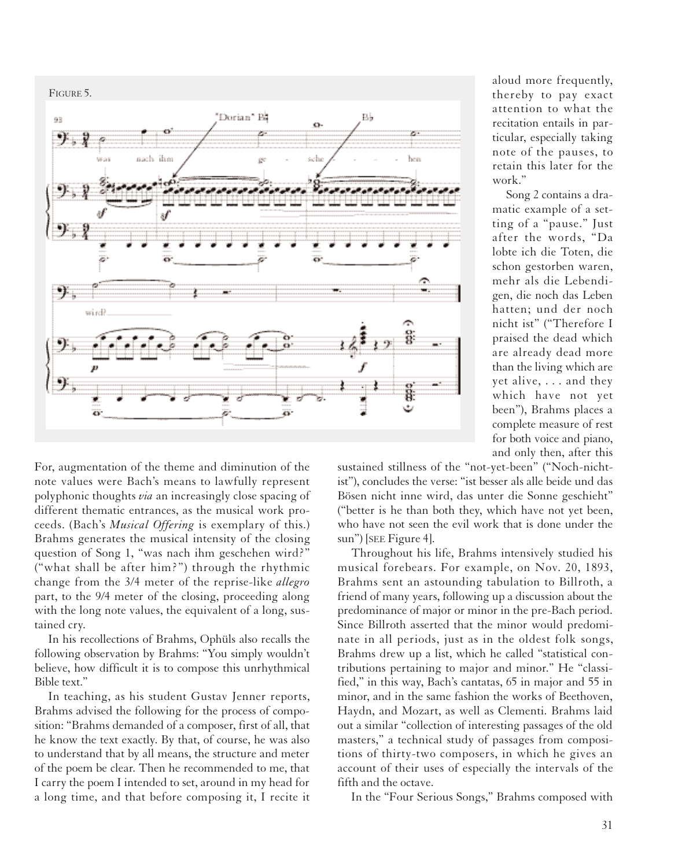

For, augmentation of the theme and diminution of the note values were Bach's means to lawfully represent polyphonic thoughts *via* an increasingly close spacing of different thematic entrances, as the musical work proceeds. (Bach's *Musical Offering* is exemplary of this.) Brahms generates the musical intensity of the closing question of Song 1, "was nach ihm geschehen wird?" ("what shall be after him?") through the rhythmic change from the 3/4 meter of the reprise-like *allegro* part, to the 9/4 meter of the closing, proceeding along with the long note values, the equivalent of a long, sustained cry.

In his recollections of Brahms, Ophüls also recalls the following observation by Brahms: "You simply wouldn't believe, how difficult it is to compose this unrhythmical Bible text."

In teaching, as his student Gustav Jenner reports, Brahms advised the following for the process of composition: "Brahms demanded of a composer, first of all, that he know the text exactly. By that, of course, he was also to understand that by all means, the structure and meter of the poem be clear. Then he recommended to me, that I carry the poem I intended to set, around in my head for a long time, and that before composing it, I recite it

aloud more frequently, thereby to pay exact attention to what the recitation entails in particular, especially taking note of the pauses, to retain this later for the work."

Song 2 contains a dramatic example of a setting of a "pause." Just after the words, "Da lobte ich die Toten, die schon gestorben waren, mehr als die Lebendigen, die noch das Leben hatten; und der noch nicht ist" ("Therefore I praised the dead which are already dead more than the living which are yet alive, . . . and they which have not yet been"), Brahms places a complete measure of rest for both voice and piano, and only then, after this

sustained stillness of the "not-yet-been" ("Noch-nichtist"), concludes the verse: "ist besser als alle beide und das Bösen nicht inne wird, das unter die Sonne geschieht" ("better is he than both they, which have not yet been, who have not seen the evil work that is done under the sun") [SEE Figure 4].

Throughout his life, Brahms intensively studied his musical forebears. For example, on Nov. 20, 1893, Brahms sent an astounding tabulation to Billroth, a friend of many years, following up a discussion about the predominance of major or minor in the pre-Bach period. Since Billroth asserted that the minor would predominate in all periods, just as in the oldest folk songs, Brahms drew up a list, which he called "statistical contributions pertaining to major and minor." He "classified," in this way, Bach's cantatas, 65 in major and 55 in minor, and in the same fashion the works of Beethoven, Haydn, and Mozart, as well as Clementi. Brahms laid out a similar "collection of interesting passages of the old masters," a technical study of passages from compositions of thirty-two composers, in which he gives an account of their uses of especially the intervals of the fifth and the octave.

In the "Four Serious Songs," Brahms composed with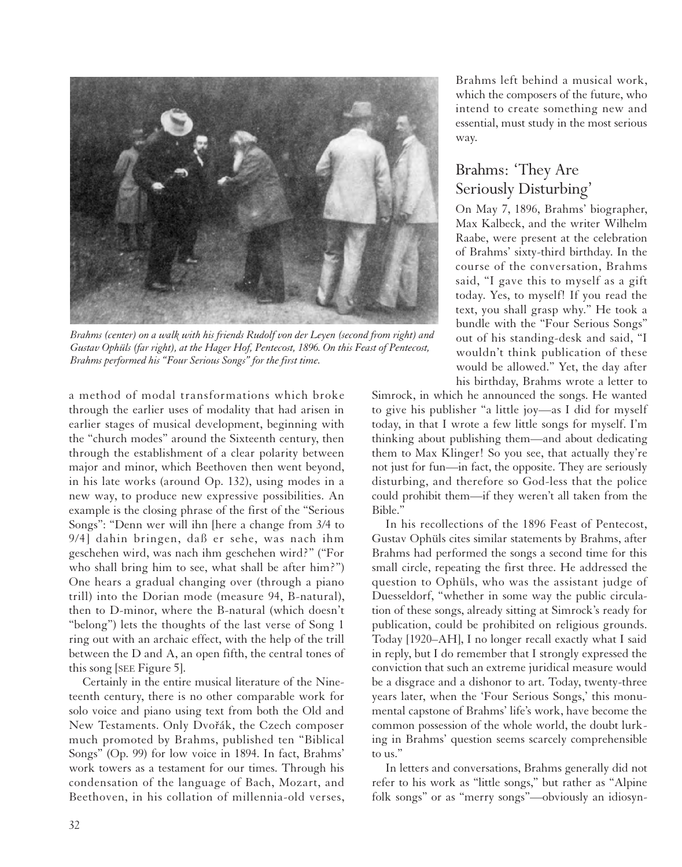

*Brahms (center) on a walk with his friends Rudolf von der Leyen (second from right) and Gustav Ophüls (far right), at the Hager Hof, Pentecost, 1896. On this Feast of Pentecost, Brahms performed his "Four Serious Songs" for the first time.*

a method of modal transformations which broke through the earlier uses of modality that had arisen in earlier stages of musical development, beginning with the "church modes" around the Sixteenth century, then through the establishment of a clear polarity between major and minor, which Beethoven then went beyond, in his late works (around Op. 132), using modes in a new way, to produce new expressive possibilities. An example is the closing phrase of the first of the "Serious Songs": "Denn wer will ihn [here a change from 3/4 to 9/4] dahin bringen, daß er sehe, was nach ihm geschehen wird, was nach ihm geschehen wird?" ("For who shall bring him to see, what shall be after him?") One hears a gradual changing over (through a piano trill) into the Dorian mode (measure 94, B-natural), then to D-minor, where the B-natural (which doesn't "belong") lets the thoughts of the last verse of Song 1 ring out with an archaic effect, with the help of the trill between the D and A, an open fifth, the central tones of this song [SEE Figure 5].

Certainly in the entire musical literature of the Nineteenth century, there is no other comparable work for solo voice and piano using text from both the Old and New Testaments. Only Dvořák, the Czech composer much promoted by Brahms, published ten "Biblical Songs" (Op. 99) for low voice in 1894. In fact, Brahms' work towers as a testament for our times. Through his condensation of the language of Bach, Mozart, and Beethoven, in his collation of millennia-old verses, Brahms left behind a musical work, which the composers of the future, who intend to create something new and essential, must study in the most serious way.

## Brahms: 'They Are Seriously Disturbing'

On May 7, 1896, Brahms' biographer, Max Kalbeck, and the writer Wilhelm Raabe, were present at the celebration of Brahms' sixty-third birthday. In the course of the conversation, Brahms said, "I gave this to myself as a gift today. Yes, to myself! If you read the text, you shall grasp why." He took a bundle with the "Four Serious Songs" out of his standing-desk and said, "I wouldn't think publication of these would be allowed." Yet, the day after his birthday, Brahms wrote a letter to

Simrock, in which he announced the songs. He wanted to give his publisher "a little joy—as I did for myself today, in that I wrote a few little songs for myself. I'm thinking about publishing them—and about dedicating them to Max Klinger! So you see, that actually they're not just for fun—in fact, the opposite. They are seriously disturbing, and therefore so God-less that the police could prohibit them—if they weren't all taken from the Bible."

In his recollections of the 1896 Feast of Pentecost, Gustav Ophüls cites similar statements by Brahms, after Brahms had performed the songs a second time for this small circle, repeating the first three. He addressed the question to Ophüls, who was the assistant judge of Duesseldorf, "whether in some way the public circulation of these songs, already sitting at Simrock's ready for publication, could be prohibited on religious grounds. Today [1920–AH], I no longer recall exactly what I said in reply, but I do remember that I strongly expressed the conviction that such an extreme juridical measure would be a disgrace and a dishonor to art. Today, twenty-three years later, when the 'Four Serious Songs,' this monumental capstone of Brahms' life's work, have become the common possession of the whole world, the doubt lurking in Brahms' question seems scarcely comprehensible to us."

In letters and conversations, Brahms generally did not refer to his work as "little songs," but rather as "Alpine folk songs" or as "merry songs"—obviously an idiosyn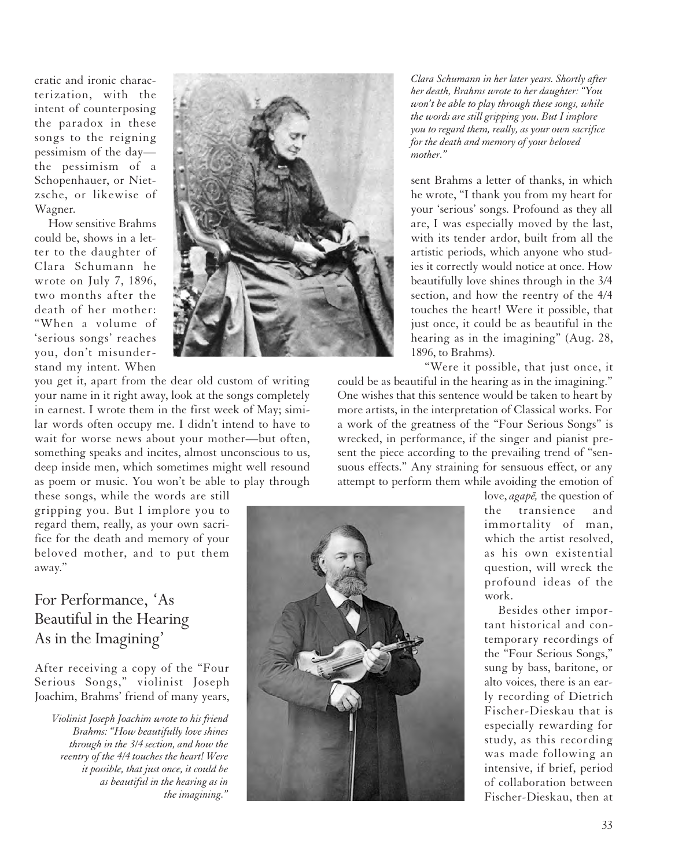cratic and ironic characterization, with the intent of counterposing the paradox in these songs to the reigning pessimism of the day the pessimism of a Schopenhauer, or Nietzsche, or likewise of Wagner.

How sensitive Brahms could be, shows in a letter to the daughter of Clara Schumann he wrote on July 7, 1896, two months after the death of her mother: "When a volume of 'serious songs' reaches you, don't misunderstand my intent. When

you get it, apart from the dear old custom of writing your name in it right away, look at the songs completely in earnest. I wrote them in the first week of May; similar words often occupy me. I didn't intend to have to wait for worse news about your mother—but often, something speaks and incites, almost unconscious to us, deep inside men, which sometimes might well resound as poem or music. You won't be able to play through

these songs, while the words are still gripping you. But I implore you to regard them, really, as your own sacrifice for the death and memory of your beloved mother, and to put them away."

## For Performance, 'As Beautiful in the Hearing As in the Imagining'

After receiving a copy of the "Four Serious Songs," violinist Joseph Joachim, Brahms' friend of many years,

*Violinist Joseph Joachim wrote to his friend Brahms: "How beautifully love shines through in the 3/4 section, and how the reentry of the 4/4 touches the heart! Were it possible, that just once, it could be as beautiful in the hearing as in the imagining."*



*Clara Schumann in her later years. Shortly after her death, Brahms wrote to her daughter: "You won't be able to play through these songs, while the words are still gripping you. But I implore you to regard them, really, as your own sacrifice for the death and memory of your beloved mother."*

sent Brahms a letter of thanks, in which he wrote, "I thank you from my heart for your 'serious' songs. Profound as they all are, I was especially moved by the last, with its tender ardor, built from all the artistic periods, which anyone who studies it correctly would notice at once. How beautifully love shines through in the 3/4 section, and how the reentry of the 4/4 touches the heart! Were it possible, that just once, it could be as beautiful in the hearing as in the imagining" (Aug. 28, 1896, to Brahms).

"Were it possible, that just once, it could be as beautiful in the hearing as in the imagining." One wishes that this sentence would be taken to heart by more artists, in the interpretation of Classical works. For a work of the greatness of the "Four Serious Songs" is wrecked, in performance, if the singer and pianist present the piece according to the prevailing trend of "sensuous effects." Any straining for sensuous effect, or any attempt to perform them while avoiding the emotion of



love, *agape*, the question of the transience and immortality of man, which the artist resolved, as his own existential question, will wreck the profound ideas of the work.

Besides other important historical and contemporary recordings of the "Four Serious Songs," sung by bass, baritone, or alto voices, there is an early recording of Dietrich Fischer-Dieskau that is especially rewarding for study, as this recording was made following an intensive, if brief, period of collaboration between Fischer-Dieskau, then at